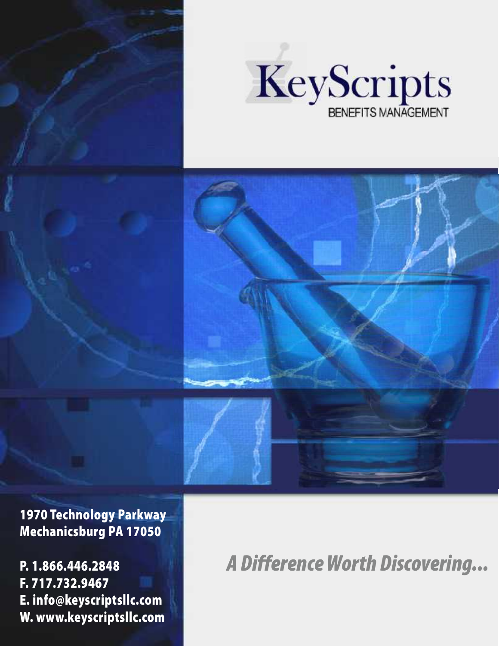



**1970 Technology Parkway Mechanicsburg PA 17050**

**P. 1.866.446.2848 F. 717.732.9467 E. info@keyscriptsllc.com W. www.keyscriptsllc.com** *A Difference Worth Discovering...*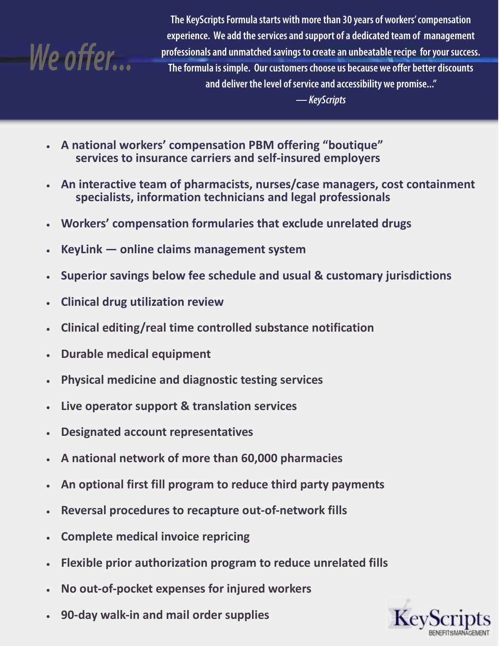

**The KeyScripts Formula starts with more than 30 years of workers' compensation experience. We add the services and support of a dedicated team of management professionals and unmatched savings to create an unbeatable recipe for your success. The formula is simple. Our customers choose us because we offer better discounts and deliver the level of service and accessibility we promise..."**

*— KeyScripts*

- **A national workers' compensation PBM offering "boutique" services to insurance carriers and self-insured employers**
- **An interactive team of pharmacists, nurses/case managers, cost containment specialists, information technicians and legal professionals**
- **Workers' compensation formularies that exclude unrelated drugs**
- **KeyLink online claims management system**
- **Superior savings below fee schedule and usual & customary jurisdictions**
- **Clinical drug utilization review**
- **Clinical editing/real time controlled substance notification**
- **Durable medical equipment**
- **Physical medicine and diagnostic testing services**
- **Live operator support & translation services**
- **Designated account representatives**
- **A national network of more than 60,000 pharmacies**
- **An optional first fill program to reduce third party payments**
- **Reversal procedures to recapture out-of-network fills**
- **Complete medical invoice repricing**
- **Flexible prior authorization program to reduce unrelated fills**
- **No out-of-pocket expenses for injured workers**
- **90-day walk-in and mail order supplies**

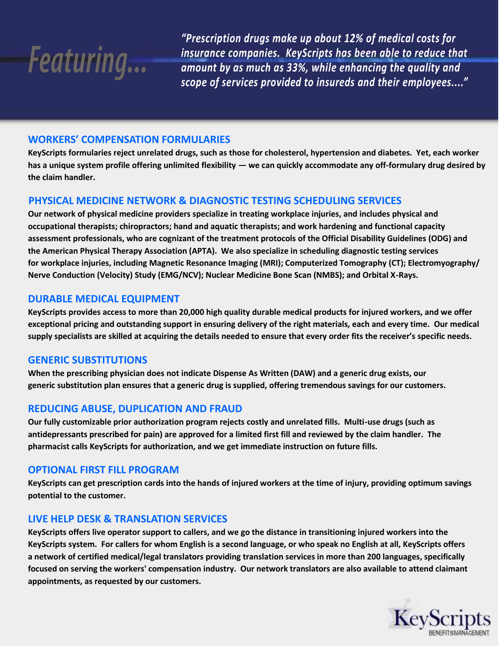

*"Prescription drugs make up about 12% of medical costs for insurance companies. KeyScripts has been able to reduce that amount by as much as 33%, while enhancing the quality and scope of services provided to insureds and their employees...."*

# **WORKERS' COMPENSATION FORMULARIES**

**KeyScripts formularies reject unrelated drugs, such as those for cholesterol, hypertension and diabetes. Yet, each worker has a unique system profile offering unlimited flexibility — we can quickly accommodate any off-formulary drug desired by the claim handler.**

# **PHYSICAL MEDICINE NETWORK & DIAGNOSTIC TESTING SCHEDULING SERVICES**

**Our network of physical medicine providers specialize in treating workplace injuries, and includes physical and occupational therapists; chiropractors; hand and aquatic therapists; and work hardening and functional capacity assessment professionals, who are cognizant of the treatment protocols of the Official Disability Guidelines (ODG) and the American Physical Therapy Association (APTA). We also specialize in scheduling diagnostic testing services for workplace injuries, including Magnetic Resonance Imaging (MRI); Computerized Tomography (CT); Electromyography/ Nerve Conduction (Velocity) Study (EMG/NCV); Nuclear Medicine Bone Scan (NMBS); and Orbital X-Rays.**

# **DURABLE MEDICAL EQUIPMENT**

**KeyScripts provides access to more than 20,000 high quality durable medical products for injured workers, and we offer exceptional pricing and outstanding support in ensuring delivery of the right materials, each and every time. Our medical supply specialists are skilled at acquiring the details needed to ensure that every order fits the receiver's specific needs.**

## **GENERIC SUBSTITUTIONS**

**When the prescribing physician does not indicate Dispense As Written (DAW) and a generic drug exists, our generic substitution plan ensures that a generic drug is supplied, offering tremendous savings for our customers.**

# **REDUCING ABUSE, DUPLICATION AND FRAUD**

**Our fully customizable prior authorization program rejects costly and unrelated fills. Multi-use drugs (such as antidepressants prescribed for pain) are approved for a limited first fill and reviewed by the claim handler. The pharmacist calls KeyScripts for authorization, and we get immediate instruction on future fills.**

## **OPTIONAL FIRST FILL PROGRAM**

**KeyScripts can get prescription cards into the hands of injured workers at the time of injury, providing optimum savings potential to the customer.**

## **LIVE HELP DESK & TRANSLATION SERVICES**

**KeyScripts offers live operator support to callers, and we go the distance in transitioning injured workers into the KeyScripts system. For callers for whom English is a second language, or who speak no English at all, KeyScripts offers a network of certified medical/legal translators providing translation services in more than 200 languages, specifically focused on serving the workers' compensation industry. Our network translators are also available to attend claimant appointments, as requested by our customers.**